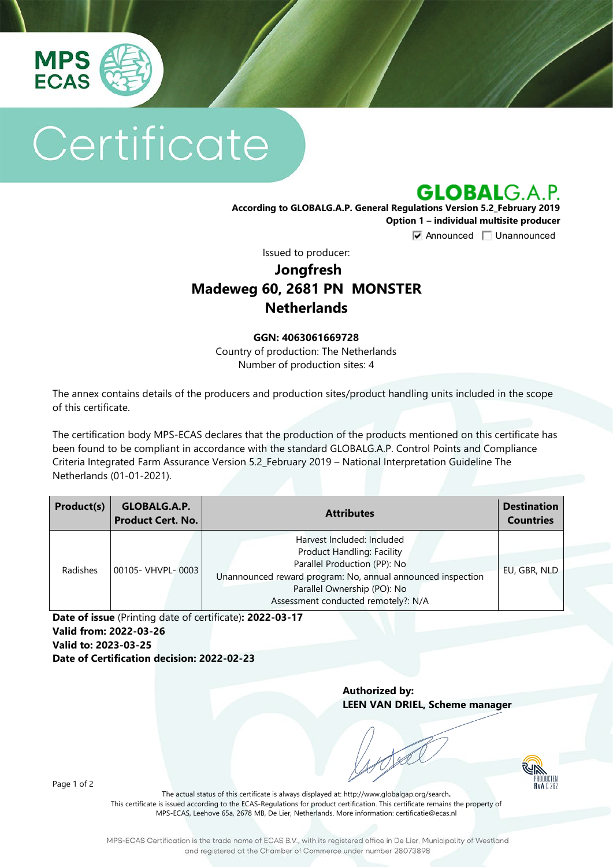

# Certificate

**GLOBALG.A.P.** 

**According to GLOBALG.A.P. General Regulations Version 5.2\_February 2019 Option 1 – individual multisite producer**

**V** Announced **Unannounced** 

Issued to producer:

## **Jongfresh Madeweg 60, 2681 PN MONSTER Netherlands**

#### **GGN: 4063061669728**

Country of production: The Netherlands Number of production sites: 4

The annex contains details of the producers and production sites/product handling units included in the scope of this certificate.

The certification body MPS-ECAS declares that the production of the products mentioned on this certificate has been found to be compliant in accordance with the standard GLOBALG.A.P. Control Points and Compliance Criteria Integrated Farm Assurance Version 5.2\_February 2019 – National Interpretation Guideline The Netherlands (01-01-2021).

| Product(s) | GLOBALG.A.P.<br><b>Product Cert. No.</b> | <b>Attributes</b>                                                                                                                                                                                                                    | <b>Destination</b><br><b>Countries</b> |
|------------|------------------------------------------|--------------------------------------------------------------------------------------------------------------------------------------------------------------------------------------------------------------------------------------|----------------------------------------|
| Radishes   | 00105- VHVPL-0003                        | Harvest Included: Included<br><b>Product Handling: Facility</b><br>Parallel Production (PP): No<br>Unannounced reward program: No, annual announced inspection<br>Parallel Ownership (PO): No<br>Assessment conducted remotely?: N/A | EU, GBR, NLD                           |

**Date of issue** (Printing date of certificate)**: 2022-03-17 Valid from: 2022-03-26 Valid to: 2023-03-25 Date of Certification decision: 2022-02-23**

> **Authorized by: LEEN VAN DRIEL, Scheme manager**



Page 1 of 2

The actual status of this certificate is always displayed at: <http://www.globalgap.org/search>**.**  This certificate is issued according to the ECAS-Regulations for product certification. This certificate remains the property of MPS-ECAS, Leehove 65a, 2678 MB, De Lier, Netherlands. More information[: certificatie@ecas.nl](mailto:certificatie@ecas.nl)